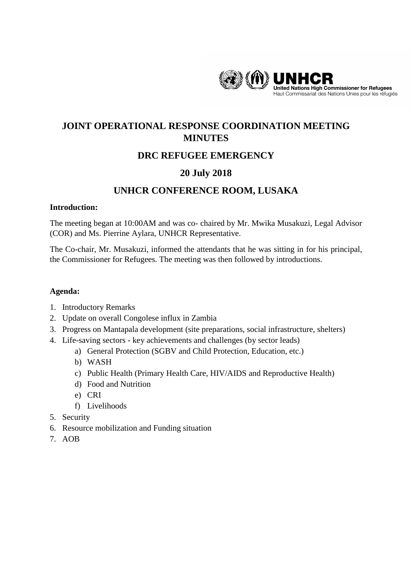

# **JOINT OPERATIONAL RESPONSE COORDINATION MEETING MINUTES**

# **DRC REFUGEE EMERGENCY**

# **20 July 2018**

# **UNHCR CONFERENCE ROOM, LUSAKA**

#### **Introduction:**

The meeting began at 10:00AM and was co- chaired by Mr. Mwika Musakuzi, Legal Advisor (COR) and Ms. Pierrine Aylara, UNHCR Representative.

The Co-chair, Mr. Musakuzi, informed the attendants that he was sitting in for his principal, the Commissioner for Refugees. The meeting was then followed by introductions.

#### **Agenda:**

- 1. Introductory Remarks
- 2. Update on overall Congolese influx in Zambia
- 3. Progress on Mantapala development (site preparations, social infrastructure, shelters)
- 4. Life-saving sectors key achievements and challenges (by sector leads)
	- a) General Protection (SGBV and Child Protection, Education, etc.)
	- b) WASH
	- c) Public Health (Primary Health Care, HIV/AIDS and Reproductive Health)
	- d) Food and Nutrition
	- e) CRI
	- f) Livelihoods
- 5. Security
- 6. Resource mobilization and Funding situation
- 7. AOB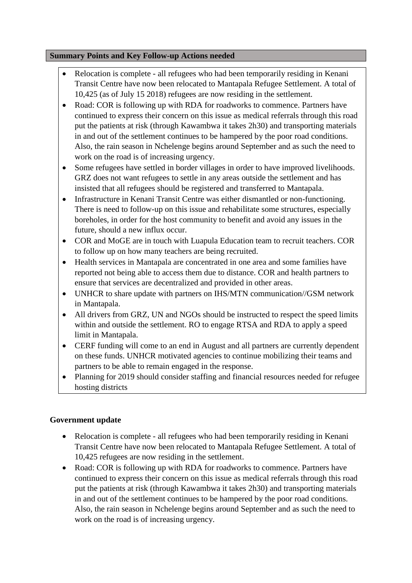#### **Summary Points and Key Follow-up Actions needed**

- Relocation is complete all refugees who had been temporarily residing in Kenani Transit Centre have now been relocated to Mantapala Refugee Settlement. A total of 10,425 (as of July 15 2018) refugees are now residing in the settlement.
- Road: COR is following up with RDA for roadworks to commence. Partners have continued to express their concern on this issue as medical referrals through this road put the patients at risk (through Kawambwa it takes 2h30) and transporting materials in and out of the settlement continues to be hampered by the poor road conditions. Also, the rain season in Nchelenge begins around September and as such the need to work on the road is of increasing urgency.
- Some refugees have settled in border villages in order to have improved livelihoods. GRZ does not want refugees to settle in any areas outside the settlement and has insisted that all refugees should be registered and transferred to Mantapala.
- Infrastructure in Kenani Transit Centre was either dismantled or non-functioning. There is need to follow-up on this issue and rehabilitate some structures, especially boreholes, in order for the host community to benefit and avoid any issues in the future, should a new influx occur.
- COR and MoGE are in touch with Luapula Education team to recruit teachers. COR to follow up on how many teachers are being recruited.
- Health services in Mantapala are concentrated in one area and some families have reported not being able to access them due to distance. COR and health partners to ensure that services are decentralized and provided in other areas.
- UNHCR to share update with partners on IHS/MTN communication//GSM network in Mantapala.
- All drivers from GRZ, UN and NGOs should be instructed to respect the speed limits within and outside the settlement. RO to engage RTSA and RDA to apply a speed limit in Mantapala.
- CERF funding will come to an end in August and all partners are currently dependent on these funds. UNHCR motivated agencies to continue mobilizing their teams and partners to be able to remain engaged in the response.
- Planning for 2019 should consider staffing and financial resources needed for refugee hosting districts

#### **Government update**

- Relocation is complete all refugees who had been temporarily residing in Kenani Transit Centre have now been relocated to Mantapala Refugee Settlement. A total of 10,425 refugees are now residing in the settlement.
- Road: COR is following up with RDA for roadworks to commence. Partners have continued to express their concern on this issue as medical referrals through this road put the patients at risk (through Kawambwa it takes 2h30) and transporting materials in and out of the settlement continues to be hampered by the poor road conditions. Also, the rain season in Nchelenge begins around September and as such the need to work on the road is of increasing urgency.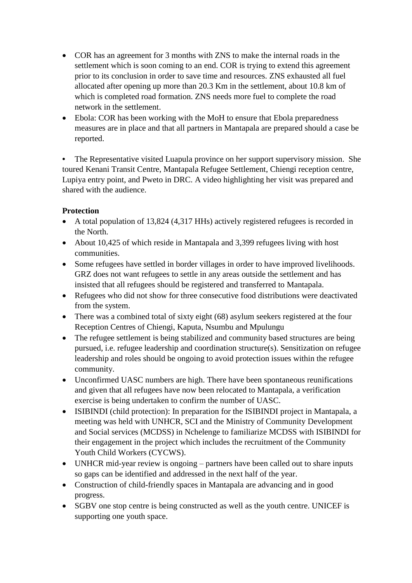- COR has an agreement for 3 months with ZNS to make the internal roads in the settlement which is soon coming to an end. COR is trying to extend this agreement prior to its conclusion in order to save time and resources. ZNS exhausted all fuel allocated after opening up more than 20.3 Km in the settlement, about 10.8 km of which is completed road formation. ZNS needs more fuel to complete the road network in the settlement.
- Ebola: COR has been working with the MoH to ensure that Ebola preparedness measures are in place and that all partners in Mantapala are prepared should a case be reported.

**•** The Representative visited Luapula province on her support supervisory mission. She toured Kenani Transit Centre, Mantapala Refugee Settlement, Chiengi reception centre, Lupiya entry point, and Pweto in DRC. A video highlighting her visit was prepared and shared with the audience.

### **Protection**

- A total population of 13,824 (4,317 HHs) actively registered refugees is recorded in the North.
- About 10,425 of which reside in Mantapala and 3,399 refugees living with host communities.
- Some refugees have settled in border villages in order to have improved livelihoods. GRZ does not want refugees to settle in any areas outside the settlement and has insisted that all refugees should be registered and transferred to Mantapala.
- Refugees who did not show for three consecutive food distributions were deactivated from the system.
- There was a combined total of sixty eight (68) asylum seekers registered at the four Reception Centres of Chiengi, Kaputa, Nsumbu and Mpulungu
- The refugee settlement is being stabilized and community based structures are being pursued, i.e. refugee leadership and coordination structure(s). Sensitization on refugee leadership and roles should be ongoing to avoid protection issues within the refugee community.
- Unconfirmed UASC numbers are high. There have been spontaneous reunifications and given that all refugees have now been relocated to Mantapala, a verification exercise is being undertaken to confirm the number of UASC.
- ISIBINDI (child protection): In preparation for the ISIBINDI project in Mantapala, a meeting was held with UNHCR, SCI and the Ministry of Community Development and Social services (MCDSS) in Nchelenge to familiarize MCDSS with ISIBINDI for their engagement in the project which includes the recruitment of the Community Youth Child Workers (CYCWS).
- UNHCR mid-year review is ongoing partners have been called out to share inputs so gaps can be identified and addressed in the next half of the year.
- Construction of child-friendly spaces in Mantapala are advancing and in good progress.
- SGBV one stop centre is being constructed as well as the youth centre. UNICEF is supporting one youth space.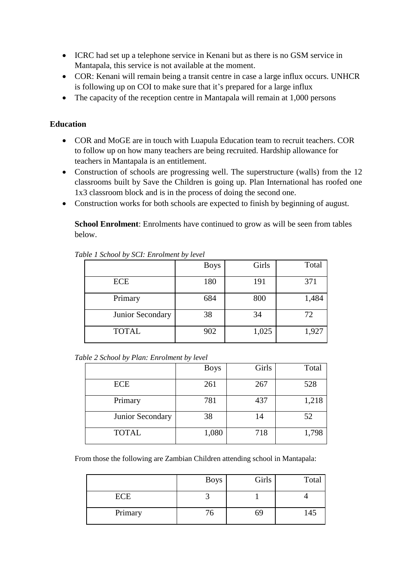- ICRC had set up a telephone service in Kenani but as there is no GSM service in Mantapala, this service is not available at the moment.
- COR: Kenani will remain being a transit centre in case a large influx occurs. UNHCR is following up on COI to make sure that it's prepared for a large influx
- The capacity of the reception centre in Mantapala will remain at 1,000 persons

#### **Education**

- COR and MoGE are in touch with Luapula Education team to recruit teachers. COR to follow up on how many teachers are being recruited. Hardship allowance for teachers in Mantapala is an entitlement.
- Construction of schools are progressing well. The superstructure (walls) from the 12 classrooms built by Save the Children is going up. Plan International has roofed one 1x3 classroom block and is in the process of doing the second one.
- Construction works for both schools are expected to finish by beginning of august.

**School Enrolment**: Enrolments have continued to grow as will be seen from tables below.

|                  | <b>Boys</b> | Girls | Total |
|------------------|-------------|-------|-------|
| <b>ECE</b>       | 180         | 191   | 371   |
| Primary          | 684         | 800   | 1,484 |
| Junior Secondary | 38          | 34    | 72    |
| <b>TOTAL</b>     | 902         | 1,025 | 1,927 |

*Table 1 School by SCI: Enrolment by level*

*Table 2 School by Plan: Enrolment by level*

|                  | <b>Boys</b> | Girls | Total |
|------------------|-------------|-------|-------|
| <b>ECE</b>       | 261         | 267   | 528   |
| Primary          | 781         | 437   | 1,218 |
| Junior Secondary | 38          | 14    | 52    |
| <b>TOTAL</b>     | 1,080       | 718   | 1,798 |

From those the following are Zambian Children attending school in Mantapala:

|            | <b>Boys</b> | Girls | Total |
|------------|-------------|-------|-------|
| <b>ECE</b> |             |       |       |
| Primary    | 76          | 69    | 145   |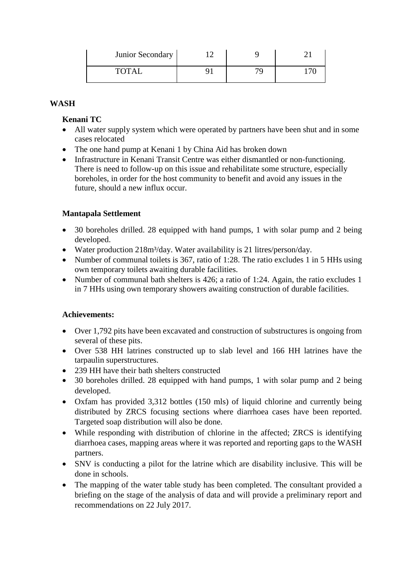| Junior Secondary |  |  |
|------------------|--|--|
| <b>TOTAI</b>     |  |  |

#### **WASH**

#### **Kenani TC**

- All water supply system which were operated by partners have been shut and in some cases relocated
- The one hand pump at Kenani 1 by China Aid has broken down
- Infrastructure in Kenani Transit Centre was either dismantled or non-functioning. There is need to follow-up on this issue and rehabilitate some structure, especially boreholes, in order for the host community to benefit and avoid any issues in the future, should a new influx occur.

#### **Mantapala Settlement**

- 30 boreholes drilled. 28 equipped with hand pumps, 1 with solar pump and 2 being developed.
- Water production 218m<sup>3</sup>/day. Water availability is 21 litres/person/day.
- Number of communal toilets is 367, ratio of 1:28. The ratio excludes 1 in 5 HHs using own temporary toilets awaiting durable facilities.
- Number of communal bath shelters is 426; a ratio of 1:24. Again, the ratio excludes 1 in 7 HHs using own temporary showers awaiting construction of durable facilities.

#### **Achievements:**

- Over 1,792 pits have been excavated and construction of substructures is ongoing from several of these pits.
- Over 538 HH latrines constructed up to slab level and 166 HH latrines have the tarpaulin superstructures.
- 239 HH have their bath shelters constructed
- 30 boreholes drilled. 28 equipped with hand pumps, 1 with solar pump and 2 being developed.
- Oxfam has provided 3,312 bottles (150 mls) of liquid chlorine and currently being distributed by ZRCS focusing sections where diarrhoea cases have been reported. Targeted soap distribution will also be done.
- While responding with distribution of chlorine in the affected; ZRCS is identifying diarrhoea cases, mapping areas where it was reported and reporting gaps to the WASH partners.
- SNV is conducting a pilot for the latrine which are disability inclusive. This will be done in schools.
- The mapping of the water table study has been completed. The consultant provided a briefing on the stage of the analysis of data and will provide a preliminary report and recommendations on 22 July 2017.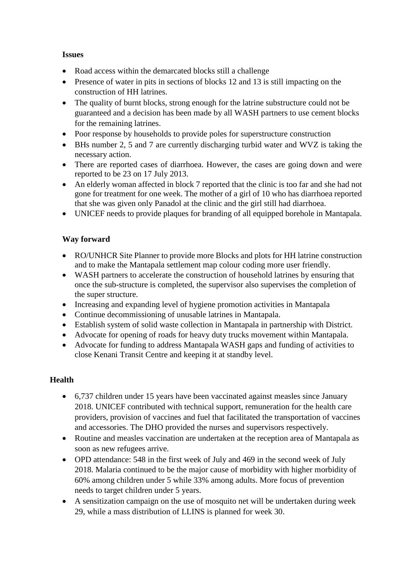#### **Issues**

- Road access within the demarcated blocks still a challenge
- Presence of water in pits in sections of blocks 12 and 13 is still impacting on the construction of HH latrines.
- The quality of burnt blocks, strong enough for the latrine substructure could not be guaranteed and a decision has been made by all WASH partners to use cement blocks for the remaining latrines.
- Poor response by households to provide poles for superstructure construction
- BHs number 2, 5 and 7 are currently discharging turbid water and WVZ is taking the necessary action.
- There are reported cases of diarrhoea. However, the cases are going down and were reported to be 23 on 17 July 2013.
- An elderly woman affected in block 7 reported that the clinic is too far and she had not gone for treatment for one week. The mother of a girl of 10 who has diarrhoea reported that she was given only Panadol at the clinic and the girl still had diarrhoea.
- UNICEF needs to provide plaques for branding of all equipped borehole in Mantapala.

# **Way forward**

- RO/UNHCR Site Planner to provide more Blocks and plots for HH latrine construction and to make the Mantapala settlement map colour coding more user friendly.
- WASH partners to accelerate the construction of household latrines by ensuring that once the sub-structure is completed, the supervisor also supervises the completion of the super structure.
- Increasing and expanding level of hygiene promotion activities in Mantapala
- Continue decommissioning of unusable latrines in Mantapala.
- Establish system of solid waste collection in Mantapala in partnership with District.
- Advocate for opening of roads for heavy duty trucks movement within Mantapala.
- Advocate for funding to address Mantapala WASH gaps and funding of activities to close Kenani Transit Centre and keeping it at standby level.

## **Health**

- 6,737 children under 15 years have been vaccinated against measles since January 2018. UNICEF contributed with technical support, remuneration for the health care providers, provision of vaccines and fuel that facilitated the transportation of vaccines and accessories. The DHO provided the nurses and supervisors respectively.
- Routine and measles vaccination are undertaken at the reception area of Mantapala as soon as new refugees arrive.
- OPD attendance: 548 in the first week of July and 469 in the second week of July 2018. Malaria continued to be the major cause of morbidity with higher morbidity of 60% among children under 5 while 33% among adults. More focus of prevention needs to target children under 5 years.
- A sensitization campaign on the use of mosquito net will be undertaken during week 29, while a mass distribution of LLINS is planned for week 30.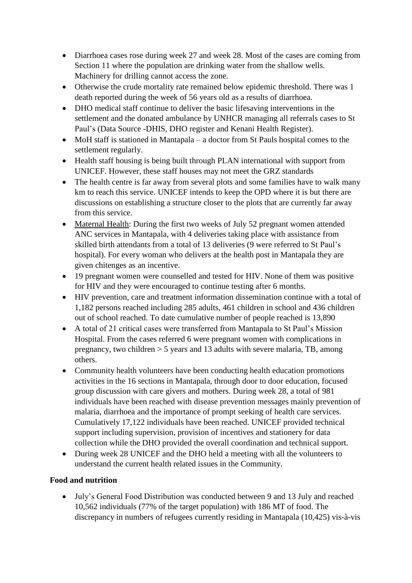- Diarrhoea cases rose during week 27 and week 28. Most of the cases are coming from Section 11 where the population are drinking water from the shallow wells. Machinery for drilling cannot access the zone.
- Otherwise the crude mortality rate remained below epidemic threshold. There was 1 death reported during the week of 56 years old as a results of diarrhoea.
- DHO medical staff continue to deliver the basic lifesaving interventions in the settlement and the donated ambulance by UNHCR managing all referrals cases to St Paul's (Data Source -DHIS, DHO register and Kenani Health Register).
- MoH staff is stationed in Mantapala a doctor from St Pauls hospital comes to the settlement regularly.
- Health staff housing is being built through PLAN international with support from UNICEF. However, these staff houses may not meet the GRZ standards
- The health centre is far away from several plots and some families have to walk many km to reach this service. UNICEF intends to keep the OPD where it is but there are discussions on establishing a structure closer to the plots that are currently far away from this service.
- Maternal Health: During the first two weeks of July 52 pregnant women attended ANC services in Mantapala, with 4 deliveries taking place with assistance from skilled birth attendants from a total of 13 deliveries (9 were referred to St Paul's hospital). For every woman who delivers at the health post in Mantapala they are given chitenges as an incentive.
- 19 pregnant women were counselled and tested for HIV. None of them was positive for HIV and they were encouraged to continue testing after 6 months.
- HIV prevention, care and treatment information dissemination continue with a total of 1,182 persons reached including 285 adults, 461 children in school and 436 children out of school reached. To date cumulative number of people reached is 13,890
- A total of 21 critical cases were transferred from Mantapala to St Paul's Mission Hospital. From the cases referred 6 were pregnant women with complications in pregnancy, two children > 5 years and 13 adults with severe malaria, TB, among others.
- Community health volunteers have been conducting health education promotions activities in the 16 sections in Mantapala, through door to door education, focused group discussion with care givers and mothers. During week 28, a total of 981 individuals have been reached with disease prevention messages mainly prevention of malaria, diarrhoea and the importance of prompt seeking of health care services. Cumulatively 17,122 individuals have been reached. UNICEF provided technical support including supervision, provision of incentives and stationery for data collection while the DHO provided the overall coordination and technical support.
- During week 28 UNICEF and the DHO held a meeting with all the volunteers to understand the current health related issues in the Community.

## **Food and nutrition**

 July's General Food Distribution was conducted between 9 and 13 July and reached 10,562 individuals (77% of the target population) with 186 MT of food. The discrepancy in numbers of refugees currently residing in Mantapala (10,425) vis-à-vis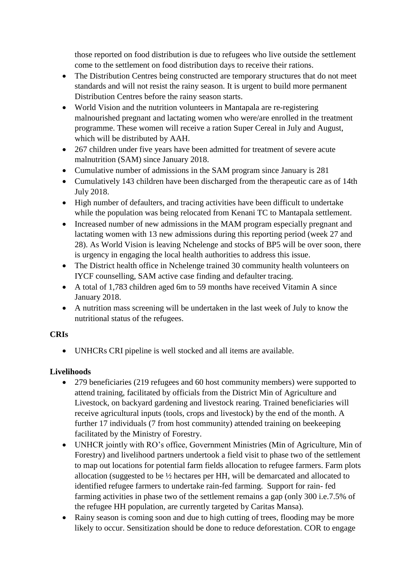those reported on food distribution is due to refugees who live outside the settlement come to the settlement on food distribution days to receive their rations.

- The Distribution Centres being constructed are temporary structures that do not meet standards and will not resist the rainy season. It is urgent to build more permanent Distribution Centres before the rainy season starts.
- World Vision and the nutrition volunteers in Mantapala are re-registering malnourished pregnant and lactating women who were/are enrolled in the treatment programme. These women will receive a ration Super Cereal in July and August, which will be distributed by AAH.
- 267 children under five years have been admitted for treatment of severe acute malnutrition (SAM) since January 2018.
- Cumulative number of admissions in the SAM program since January is 281
- Cumulatively 143 children have been discharged from the therapeutic care as of 14th July 2018.
- High number of defaulters, and tracing activities have been difficult to undertake while the population was being relocated from Kenani TC to Mantapala settlement.
- Increased number of new admissions in the MAM program especially pregnant and lactating women with 13 new admissions during this reporting period (week 27 and 28). As World Vision is leaving Nchelenge and stocks of BP5 will be over soon, there is urgency in engaging the local health authorities to address this issue.
- The District health office in Nchelenge trained 30 community health volunteers on IYCF counselling, SAM active case finding and defaulter tracing.
- A total of 1,783 children aged 6m to 59 months have received Vitamin A since January 2018.
- A nutrition mass screening will be undertaken in the last week of July to know the nutritional status of the refugees.

## **CRIs**

UNHCRs CRI pipeline is well stocked and all items are available.

# **Livelihoods**

- 279 beneficiaries (219 refugees and 60 host community members) were supported to attend training, facilitated by officials from the District Min of Agriculture and Livestock, on backyard gardening and livestock rearing. Trained beneficiaries will receive agricultural inputs (tools, crops and livestock) by the end of the month. A further 17 individuals (7 from host community) attended training on beekeeping facilitated by the Ministry of Forestry.
- UNHCR jointly with RO's office, Government Ministries (Min of Agriculture, Min of Forestry) and livelihood partners undertook a field visit to phase two of the settlement to map out locations for potential farm fields allocation to refugee farmers. Farm plots allocation (suggested to be ½ hectares per HH, will be demarcated and allocated to identified refugee farmers to undertake rain-fed farming. Support for rain- fed farming activities in phase two of the settlement remains a gap (only 300 i.e.7.5% of the refugee HH population, are currently targeted by Caritas Mansa).
- Rainy season is coming soon and due to high cutting of trees, flooding may be more likely to occur. Sensitization should be done to reduce deforestation. COR to engage